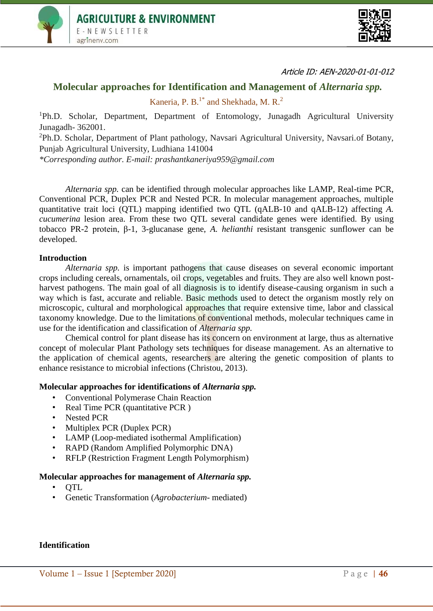



Article ID: AEN-2020-01-01-012

# **Molecular approaches for Identification and Management of** *Alternaria spp.*

Kaneria, P. B. $<sup>1*</sup>$  and Shekhada, M. R.<sup>2</sup></sup>

<sup>1</sup>Ph.D. Scholar, Department, Department of Entomology, Junagadh Agricultural University Junagadh- 362001.

<sup>2</sup>Ph.D. Scholar, Department of Plant pathology, Navsari Agricultural University, Navsari.of Botany, Punjab Agricultural University, Ludhiana 141004

*\*Corresponding author. E-mail: prashantkaneriya959@gmail.com*

*Alternaria spp.* can be identified through molecular approaches like LAMP, Real-time PCR, Conventional PCR, Duplex PCR and Nested PCR. In molecular management approaches, multiple quantitative trait loci (QTL) mapping identified two QTL (qALB-10 and qALB-12) affecting *A. cucumerina* lesion area. From these two QTL several candidate genes were identified. By using tobacco PR-2 protein, β-1, 3-glucanase gene, *A. helianthi* resistant transgenic sunflower can be developed.

### **Introduction**

*Alternaria spp.* is important pathogens that cause diseases on several economic important crops including cereals, ornamentals, oil crops, vegetables and fruits. They are also well known postharvest pathogens. The main goal of all diagnosis is to identify disease-causing organism in such a way which is fast, accurate and reliable. Basic methods used to detect the organism mostly rely on microscopic, cultural and morphological approaches that require extensive time, labor and classical taxonomy knowledge. Due to the limitations of conventional methods, molecular techniques came in use for the identification and classification of *Alternaria spp.*

Chemical control for plant disease has its concern on environment at large, thus as alternative concept of molecular Plant Pathology sets techniques for disease management. As an alternative to the application of chemical agents, researchers are altering the genetic composition of plants to enhance resistance to microbial infections (Christou, 2013).

#### **Molecular approaches for identifications of** *Alternaria spp.*

- Conventional Polymerase Chain Reaction
- Real Time PCR (quantitative PCR)
- Nested PCR
- Multiplex PCR (Duplex PCR)
- LAMP (Loop-mediated isothermal Amplification)
- RAPD (Random Amplified Polymorphic DNA)
- RFLP (Restriction Fragment Length Polymorphism)

#### **Molecular approaches for management of** *Alternaria spp.*

- QTL
- Genetic Transformation (*Agrobacterium* mediated)

## **Identification**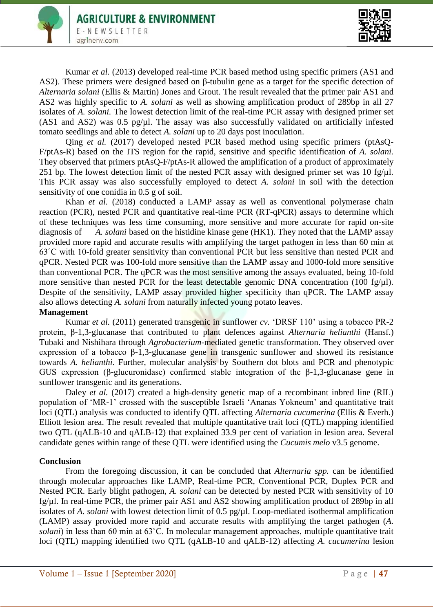

Kumar *et al.* (2013) developed real-time PCR based method using specific primers (AS1 and AS2). These primers were designed based on β-tubulin gene as a target for the specific detection of *Alternaria solani* (Ellis & Martin) Jones and Grout. The result revealed that the primer pair AS1 and AS2 was highly specific to *A. solani* as well as showing amplification product of 289bp in all 27 isolates of *A. solani.* The lowest detection limit of the real-time PCR assay with designed primer set  $(AS1$  and  $AS2)$  was 0.5 pg/ $\mu$ l. The assay was also successfully validated on artificially infested tomato seedlings and able to detect *A. solani* up to 20 days post inoculation.

Qing *et al.* (2017) developed nested PCR based method using specific primers (ptAsQ-F/ptAs-R) based on the ITS region for the rapid, sensitive and specific identification of *A. solani.* They observed that primers ptAsQ-F/ptAs-R allowed the amplification of a product of approximately 251 bp. The lowest detection limit of the nested PCR assay with designed primer set was 10 fg/ul. This PCR assay was also successfully employed to detect *A. solani* in soil with the detection sensitivity of one conidia in 0.5 g of soil.

Khan *et al.* (2018) conducted a LAMP assay as well as conventional polymerase chain reaction (PCR), nested PCR and quantitative real-time PCR (RT-qPCR) assays to determine which of these techniques was less time consuming, more sensitive and more accurate for rapid on-site diagnosis of *A. solani* based on the histidine kinase gene (HK1). They noted that the LAMP assay provided more rapid and accurate results with amplifying the target pathogen in less than 60 min at 63˚C with 10-fold greater sensitivity than conventional PCR but less sensitive than nested PCR and qPCR. Nested PCR was 100-fold more sensitive than the LAMP assay and 1000-fold more sensitive than conventional PCR. The qPCR was the most sensitive among the assays evaluated, being 10-fold more sensitive than nested PCR for the least detectable genomic DNA concentration (100 fg/ul). Despite of the sensitivity, LAMP assay provided higher specificity than qPCR. The LAMP assay also allows detecting *A. solani* from naturally infected young potato leaves.

## **Management**

Kumar *et al.* (2011) generated transgenic in sunflower *cv.* 'DRSF 110' using a tobacco PR-2 protein, β-1,3-glucanase that contributed to plant defences against *Alternaria helianthi* (Hansf.) Tubaki and Nishihara through *Agrobacterium*-mediated genetic transformation. They observed over expression of a tobacco β-1,3-glucanase gene in transgenic sunflower and showed its resistance towards *A. helianthi*. Further, molecular analysis by Southern dot blots and PCR and phenotypic GUS expression (β-glucuronidase) confirmed stable integration of the β-1,3-glucanase gene in sunflower transgenic and its generations.

Daley *et al.* (2017) created a high-density genetic map of a recombinant inbred line (RIL) population of 'MR-1' crossed with the susceptible Israeli 'Ananas Yokneum' and quantitative trait loci (QTL) analysis was conducted to identify QTL affecting *Alternaria cucumerina* (Ellis & Everh.) Elliott lesion area. The result revealed that multiple quantitative trait loci (QTL) mapping identified two QTL (qALB-10 and qALB-12) that explained 33.9 per cent of variation in lesion area. Several candidate genes within range of these QTL were identified using the *Cucumis melo* v3.5 genome.

## **Conclusion**

From the foregoing discussion, it can be concluded that *Alternaria spp.* can be identified through molecular approaches like LAMP, Real-time PCR, Conventional PCR, Duplex PCR and Nested PCR. Early blight pathogen, *A. solani* can be detected by nested PCR with sensitivity of 10 fg/µl. In real-time PCR, the primer pair AS1 and AS2 showing amplification product of 289bp in all isolates of *A. solani* with lowest detection limit of 0.5 pg/ $\mu$ l. Loop-mediated isothermal amplification (LAMP) assay provided more rapid and accurate results with amplifying the target pathogen (*A. solani*) in less than 60 min at 63˚C. In molecular management approaches, multiple quantitative trait loci (QTL) mapping identified two QTL (qALB-10 and qALB-12) affecting *A. cucumerina* lesion